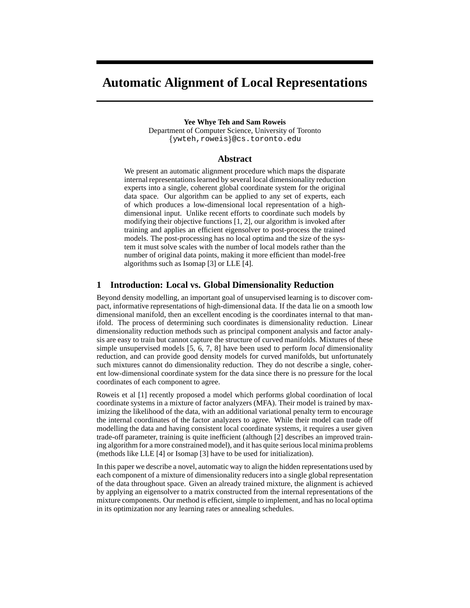# **Automatic Alignment of Local Representations**

#### **Yee Whye Teh and Sam Roweis**

Department of Computer Science, University of Toronto  $\{$ ywteh,roweis $\}$ @cs.toronto.edu

#### **Abstract**

We present an automatic alignment procedure which maps the disparate internal representations learned by several local dimensionality reduction experts into a single, coherent global coordinate system for the original data space. Our algorithm can be applied to any set of experts, each of which produces a low-dimensional local representation of a highdimensional input. Unlike recent efforts to coordinate such models by modifying their objective functions [1, 2], our algorithm is invoked after training and applies an efficient eigensolver to post-process the trained models. The post-processing has no local optima and the size of the system it must solve scales with the number of local models rather than the number of original data points, making it more efficient than model-free algorithms such as Isomap [3] or LLE [4].

## **1 Introduction: Local vs. Global Dimensionality Reduction**

Beyond density modelling, an important goal of unsupervised learning is to discover compact, informative representations of high-dimensional data. If the data lie on a smooth low dimensional manifold, then an excellent encoding is the coordinates internal to that manifold. The process of determining such coordinates is dimensionality reduction. Linear dimensionality reduction methods such as principal component analysis and factor analysis are easy to train but cannot capture the structure of curved manifolds. Mixtures of these simple unsupervised models [5, 6, 7, 8] have been used to perform *local* dimensionality reduction, and can provide good density models for curved manifolds, but unfortunately such mixtures cannot do dimensionality reduction. They do not describe a single, coherent low-dimensional coordinate system for the data since there is no pressure for the local coordinates of each component to agree.

Roweis et al [1] recently proposed a model which performs global coordination of local coordinate systems in a mixture of factor analyzers (MFA). Their model is trained by maximizing the likelihood of the data, with an additional variational penalty term to encourage the internal coordinates of the factor analyzers to agree. While their model can trade off modelling the data and having consistent local coordinate systems, it requires a user given trade-off parameter, training is quite inefficient (although [2] describes an improved training algorithm for a more constrained model), and it has quite serious local minima problems (methods like LLE [4] or Isomap [3] have to be used for initialization).

In this paper we describe a novel, automatic way to align the hidden representations used by each component of a mixture of dimensionality reducers into a single global representation of the data throughout space. Given an already trained mixture, the alignment is achieved by applying an eigensolver to a matrix constructed from the internal representations of the mixture components. Our method is efficient, simple to implement, and has no local optima in its optimization nor any learning rates or annealing schedules.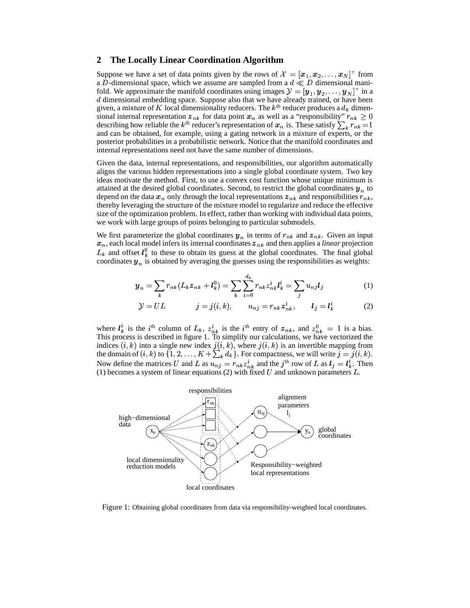## **2 The Locally Linear Coordination Algorithm**

Suppose we have a set of data points given by the rows of  $\mathcal{X} = [\mathbf{x}_1, \mathbf{x}_2, \dots, \mathbf{x}_N]^\top$  from a D-dimensional space, which we assume are sampled from a  $d \ll D$  dimensional manifold. We approximate the manifold coordinates using images  $\mathcal{Y} = [\mathbf{y}_1, \mathbf{y}_2, \dots, \mathbf{y}_N]^{\top}$  in a  $d$  dimensional embedding space. Suppose also that we have already trained, or have been given, a mixture of K local dimensionality reducers. The  $k<sup>th</sup>$  reducer produces a  $d_k$  dimensional internal representation  $z_{nk}$  for data point  $x_n$  as well as a "responsibility"  $r_{nk} \ge 0$ describing how reliable the  $k^{\text{th}}$  reducer's representation of  $x_n$  is. These satisfy  $\sum_k r_{nk} = 1$ and can be obtained, for example, using a gating network in a mixture of experts, or the posterior probabilities in a probabilistic network. Notice that the manifold coordinates and internal representations need not have the same number of dimensions.

Given the data, internal representations, and responsibilities, our algorithm automatically aligns the various hidden representations into a single global coordinate system. Two key ideas motivate the method. First, to use a convex cost function whose unique minimum is attained at the desired global coordinates. Second, to restrict the global coordinates  $y_n$  to depend on the data  $x_n$  only through the local representations  $z_{nk}$  and responsibilities  $r_{nk}$ , thereby leveraging the structure of the mixture model to regularize and reduce the effective size of the optimization problem. In effect, rather than working with individual data points, we work with large groups of points belonging to particular submodels.

We first parameterize the global coordinates  $y_n$  in terms of  $r_{nk}$  and  $z_{nk}$ . Given an input  $x_n$ , each local model infers its internal coordinates  $z_{nk}$  and then applies a *linear* projection  $L_k$  and offset  $l_k^0$  to these to obtain its guess at the global coordinates. The final global coordinates  $y_n$  is obtained by averaging the guesses using the responsibilities as weights:

$$
\mathbf{y}_n = \sum_k r_{nk} (L_k \mathbf{z}_{nk} + l_k^0) = \sum_k \sum_{i=0}^{d_k} r_{nk} z_{nk}^i l_k^i = \sum_j u_{nj} l_j \tag{1}
$$

$$
\mathcal{Y} = UL \qquad j = j(i, k), \qquad u_{nj} = r_{nk} z_{nk}^i, \qquad l_j = l_k^i \qquad (2)
$$

where  $l_k^i$  is the i<sup>th</sup> column of  $L_k$ ,  $z_{nk}^i$  is the i<sup>th</sup> entry of  $z_{nk}$ , and  $z_{nk}^0 = 1$  is a bias. This process is described in figure 1. To simplify our calculations, we have vectorized the indices  $(i, k)$  into a single new index  $j(i, k)$ , where  $j(i, k)$  is an invertible mapping from the domain of  $(i, k)$  to  $\{1, 2, ..., K + \sum_k d_k\}$ . For compactness, we will write  $j = j(i, k)$ . Now define the matrices U and L as  $\overline{u_{nj}} = r_{nk} z_{nk}^i$  and the j<sup>th</sup> row of L as  $l_j = l_k^i$ . Then (1) becomes a system of linear equations (2) with fixed U and unknown parameters L.



Figure 1: Obtaining global coordinates from data via responsibility-weighted local coordinates.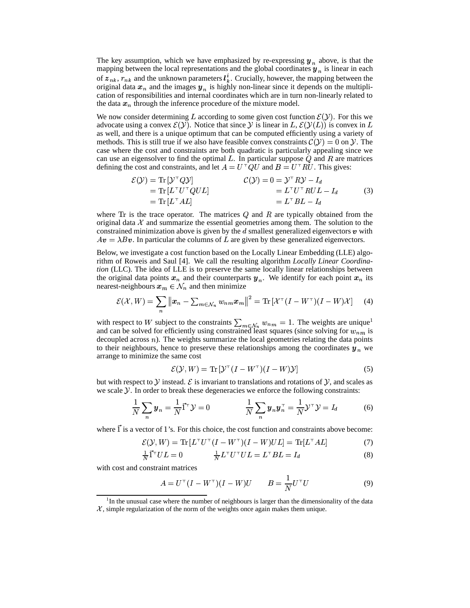The key assumption, which we have emphasized by re-expressing  $y_n$  above, is that the mapping between the local representations and the global coordinates  $y_n$  is linear in each of  $z_{nk}$ ,  $r_{nk}$  and the unknown parameters  $l_k^i$ . Crucially, however, the mapping between the original data  $x_n$  and the images  $y_n$  is highly non-linear since it depends on the multiplication of responsibilities and internal coordinates which are in turn non-linearly related to the data  $x_n$  through the inference procedure of the mixture model.

We now consider determining L according to some given cost function  $\mathcal{E}(y)$ . For this we advocate using a convex  $\mathcal{E}(y)$ . Notice that since y is linear in  $L, \mathcal{E}(y(L))$  is convex in L as well, and there is a unique optimum that can be computed efficiently using a variety of methods. This is still true if we also have feasible convex constraints  $\mathcal{C}(\mathcal{Y})=0$  on  $\mathcal{Y}$ . The case where the cost and constraints are both quadratic is particularly appealing since we can use an eigensolver to find the optimal  $L$ . In particular suppose  $Q$  and  $R$  are matrices defining the cost and constraints, and let  $A = U^{\top}QU$  and  $B = U^{\top}RU$ . This gives:

$$
\mathcal{E}(\mathcal{Y}) = \text{Tr} [\mathcal{Y}^\top Q \mathcal{Y}] \qquad \qquad \mathcal{C}(\mathcal{Y}) = 0 = \mathcal{Y}^\top R \mathcal{Y} - I_d \n= \text{Tr} [L^\top U^\top Q U L] \qquad \qquad = L^\top U^\top R U L - I_d \n= L^\top B L - I_d
$$
\n(3)

where  $Tr$  is the trace operator. The matrices  $Q$  and  $R$  are typically obtained from the original data  $\chi$  and summarize the essential geometries among them. The solution to the constrained minimization above is given by the  $d$  smallest generalized eigenvectors  $\boldsymbol{v}$  with  $Av = \lambda Bv$ . In particular the columns of L are given by these generalized eigenvectors.

Below, we investigate a cost function based on the Locally Linear Embedding (LLE) algorithm of Roweis and Saul [4]. We call the resulting algorithm *Locally Linear Coordination* (LLC). The idea of LLE is to preserve the same locally linear relationships between the original data points  $x_n$  and their counterparts  $y_n$ . We identify for each point  $x_n$  its nearest-neighbours  $x_m \in \mathcal{N}_n$  and then minimize

$$
\mathcal{E}(\mathcal{X}, W) = \sum_{n} \|x_n - \sum_{m \in \mathcal{N}_n} w_{nm} x_m\|^2 = \text{Tr}\left[\mathcal{X}^\top (I - W^\top)(I - W)\mathcal{X}\right]
$$
 (4)

with respect to W subject to the constraints  $\sum_{m \in \mathcal{N}} w_{nm} = 1$ . The weights are unique<sup>1</sup> and can be solved for efficiently using constrained least squares (since solving for  $w_{nm}$  is decoupled across  $n$ ). The weights summarize the local geometries relating the data points to their neighbours, hence to preserve these relationships among the coordinates  $y_n$  we arrange to minimize the same cost

$$
\mathcal{E}(\mathcal{Y}, W) = \text{Tr}[\mathcal{Y}^{\top} (I - W^{\top}) (I - W) \mathcal{Y}]
$$
\n<sup>(5)</sup>

but with respect to  $\mathcal Y$  instead.  $\mathcal E$  is invariant to translations and rotations of  $\mathcal Y$ , and scales as we scale  $\mathcal Y$ . In order to break these degeneracies we enforce the following constraints:

$$
\frac{1}{N}\sum_{n} y_n = \frac{1}{N}\vec{1}^\top \mathcal{Y} = 0 \qquad \qquad \frac{1}{N}\sum_{n} y_n y_n^\top = \frac{1}{N}\mathcal{Y}^\top \mathcal{Y} = I_d \tag{6}
$$

where  $\vec{1}$  is a vector of 1's. For this choice, the cost function and constraints above become:

$$
\mathcal{E}(\mathcal{Y}, W) = \text{Tr}\left[L^{\top}U^{\top}(I - W^{\top})(I - W)UL\right] = \text{Tr}[L^{\top}AL] \tag{7}
$$

$$
\frac{1}{N}\vec{\mathbf{1}}^\top UL = 0 \qquad \qquad \frac{1}{N}L^\top U^\top UL = L^\top BL = I_d \tag{8}
$$

with cost and constraint matrices

$$
A = U\top (I - W\top) (I - W)U \t B = \frac{1}{N} U\top U \t (9)
$$

<sup>&</sup>lt;sup>1</sup>In the unusual case where the number of neighbours is larger than the dimensionality of the data  $\mathcal{X}$ , simple regularization of the norm of the weights once again makes them unique.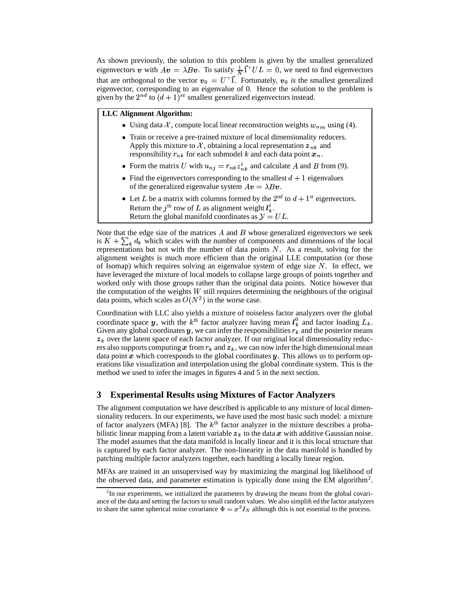As shown previously, the solution to this problem is given by the smallest generalized eigenvectors v with  $Av = \lambda Bv$ . To satisfy  $\frac{1}{N} 1^{\top} UL = 0$ , we need to find eigenvectors that are orthogonal to the vector  $\mathbf{v}_0 = U^\top \mathbf{1}$ . Fortunately,  $\mathbf{v}_0$  is the smallest generalized eigenvector, corresponding to an eigenvalue of 0. Hence the solution to the problem is given by the  $2^{nd}$  to  $(d+1)^{st}$  smallest generalized eigenvectors instead.

**LLC Alignment Algorithm:**

- Using data  $\mathcal{X}$ , compute local linear reconstruction weights  $w_{nm}$  using (4).
- Train or receive a pre-trained mixture of local dimensionality reducers. Apply this mixture to X, obtaining a local representation  $z_{nk}$  and responsibility  $r_{nk}$  for each submodel  $k$  and each data point  $x_n$ .
- Form the matrix U with  $u_{nj} = r_{nk} z_{nk}^i$  and calculate A and B from (9).
- Find the eigenvectors corresponding to the smallest  $d + 1$  eigenvalues of the generalized eigenvalue system  $Av = \lambda Bv$ .
- Let L be a matrix with columns formed by the  $2<sup>nd</sup>$  to  $d + 1<sup>st</sup>$  eigenvectors. Return the  $j^{\text{th}}$  row of L as alignment weight  $l_k^i$ . Return the global manifold coordinates as  $\mathcal{Y} = UL$ .

Note that the edge size of the matrices  $A$  and  $B$  whose generalized eigenvectors we seek is  $K + \sum_{k} d_k$  which scales with the number of components and dimensions of the local representations but not with the number of data points  $N$ . As a result, solving for the alignment weights is much more efficient than the original LLE computation (or those of Isomap) which requires solving an eigenvalue system of edge size N. In effect, we have leveraged the mixture of local models to collapse large groups of points together and worked only with those groups rather than the original data points. Notice however that the computation of the weights  $W$  still requires determining the neighbours of the original data points, which scales as  $O(N^2)$  in the worse case.

Coordination with LLC also yields a mixture of noiseless factor analyzers over the global coordinate space y, with the  $k^{\text{th}}$  factor analyzer having mean  $l_k^0$  and factor loading  $L_k$ . Given any global coordinates y, we can infer the responsibilities  $r_k$  and the posterior means  $z_k$  over the latent space of each factor analyzer. If our original local dimensionality reducers also supports computing x from  $r_k$  and  $z_k$ , we can now infer the high dimensional mean data point  $x$  which corresponds to the global coordinates  $y$ . This allows us to perform operations like visualization and interpolation using the global coordinate system. This is the method we used to infer the images in figures 4 and 5 in the next section.

## **3 Experimental Results using Mixtures of Factor Analyzers**

The alignment computation we have described is applicable to any mixture of local dimensionality reducers. In our experiments, we have used the most basic such model: a mixture of factor analyzers (MFA) [8]. The  $k<sup>th</sup>$  factor analyzer in the mixture describes a probabilistic linear mapping from a latent variable  $z_k$  to the data  $x$  with additive Gaussian noise. The model assumes that the data manifold is locally linear and it is this local structure that is captured by each factor analyzer. The non-linearity in the data manifold is handled by patching multiple factor analyzers together, each handling a locally linear region.

MFAs are trained in an unsupervised way by maximizing the marginal log likelihood of the observed data, and parameter estimation is typically done using the EM algorithm<sup>2</sup>.

 $2$ In our experiments, we initialized the parameters by drawing the means from the global covariance of the data and setting the factors to small random values. We also simplified the factor analyzers to share the same spherical noise covariance  $\Phi = \sigma^2 I_N$  although this is not essential to the process.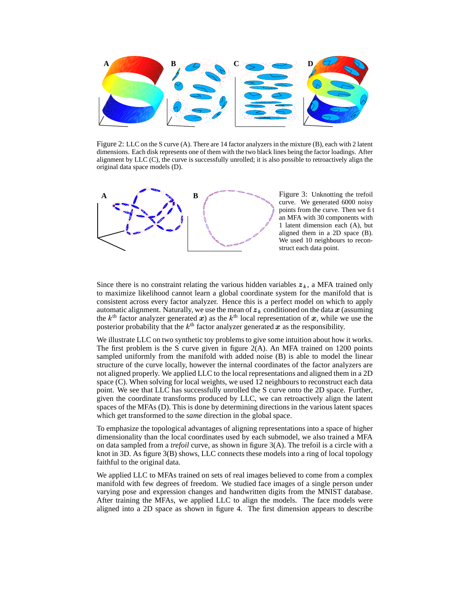

Figure 2: LLC on the S curve (A). There are 14 factor analyzers in the mixture (B), each with 2 latent dimensions. Each disk represents one of them with the two black lines being the factor loadings. After alignment by LLC (C), the curve is successfully unrolled; it is also possible to retroactively align the original data space models (D).



Since there is no constraint relating the various hidden variables  $z_k$ , a MFA trained only to maximize likelihood cannot learn a global coordinate system for the manifold that is consistent across every factor analyzer. Hence this is a perfect model on which to apply automatic alignment. Naturally, we use the mean of  $z_k$  conditioned on the data  $x$  (assuming the  $k^{\text{th}}$  factor analyzer generated x) as the  $k^{\text{th}}$  local representation of x, while we use the posterior probability that the  $k^{\text{th}}$  factor analyzer generated  $x$  as the responsibility.

We illustrate LLC on two synthetic toy problems to give some intuition about how it works. The first problem is the S curve given in figure 2(A). An MFA trained on 1200 points sampled uniformly from the manifold with added noise (B) is able to model the linear structure of the curve locally, however the internal coordinates of the factor analyzers are not aligned properly. We applied LLC to the local representations and aligned them in a 2D space (C). When solving for local weights, we used 12 neighbours to reconstruct each data point. We see that LLC has successfully unrolled the S curve onto the 2D space. Further, given the coordinate transforms produced by LLC, we can retroactively align the latent spaces of the MFAs (D). This is done by determining directions in the various latent spaces which get transformed to the *same* direction in the global space.

To emphasize the topological advantages of aligning representations into a space of higher dimensionality than the local coordinates used by each submodel, we also trained a MFA on data sampled from a *trefoil* curve, as shown in figure 3(A). The trefoil is a circle with a knot in 3D. As figure 3(B) shows, LLC connects these models into a ring of local topology faithful to the original data.

We applied LLC to MFAs trained on sets of real images believed to come from a complex manifold with few degrees of freedom. We studied face images of a single person under varying pose and expression changes and handwritten digits from the MNIST database. After training the MFAs, we applied LLC to align the models. The face models were aligned into a 2D space as shown in figure 4. The first dimension appears to describe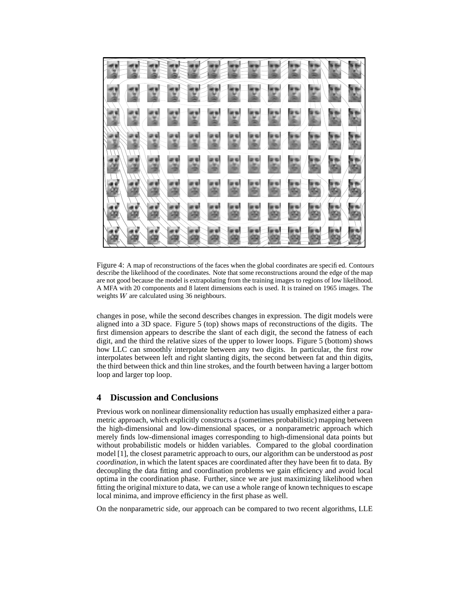

Figure 4: A map of reconstructions of the faces when the global coordinates are specified. Contours describe the likelihood of the coordinates. Note that some reconstructions around the edge of the map are not good because the model is extrapolating from the training images to regions of low likelihood. A MFA with 20 components and 8 latent dimensions each is used. It is trained on 1965 images. The weights  $W$  are calculated using 36 neighbours.

changes in pose, while the second describes changes in expression. The digit models were aligned into a 3D space. Figure 5 (top) shows maps of reconstructions of the digits. The first dimension appears to describe the slant of each digit, the second the fatness of each digit, and the third the relative sizes of the upper to lower loops. Figure 5 (bottom) shows how LLC can smoothly interpolate between any two digits. In particular, the first row interpolates between left and right slanting digits, the second between fat and thin digits, the third between thick and thin line strokes, and the fourth between having a larger bottom loop and larger top loop.

## **4 Discussion and Conclusions**

Previous work on nonlinear dimensionality reduction has usually emphasized either a parametric approach, which explicitly constructs a (sometimes probabilistic) mapping between the high-dimensional and low-dimensional spaces, or a nonparametric approach which merely finds low-dimensional images corresponding to high-dimensional data points but without probabilistic models or hidden variables. Compared to the global coordination model [1], the closest parametric approach to ours, our algorithm can be understood as *post coordination*, in which the latent spaces are coordinated after they have been fit to data. By decoupling the data fitting and coordination problems we gain efficiency and avoid local optima in the coordination phase. Further, since we are just maximizing likelihood when fitting the original mixture to data, we can use a whole range of known techniques to escape local minima, and improve efficiency in the first phase as well.

On the nonparametric side, our approach can be compared to two recent algorithms, LLE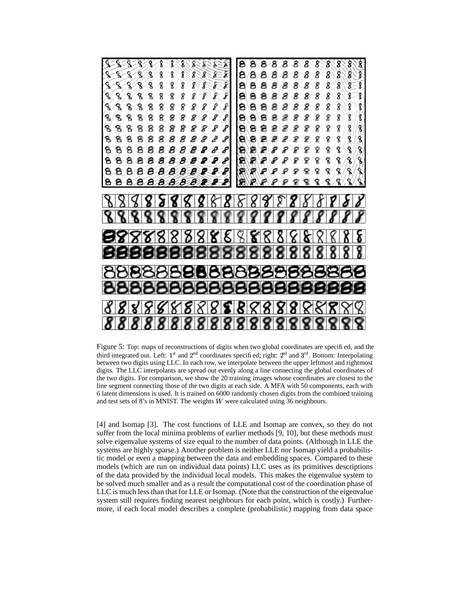

Figure 5: Top: maps of reconstructions of digits when two global coordinates are specified, and the third integrated out. Left:  $1<sup>st</sup>$  and  $2<sup>nd</sup>$  coordinates specified; right:  $2<sup>nd</sup>$  and  $3<sup>rd</sup>$ . Bottom: Interpolating between two digits using LLC. In each row, we interpolate between the upper leftmost and rightmost digits. The LLC interpolants are spread out evenly along a line connecting the global coordinates of the two digits. For comparison, we show the 20 training images whose coordinates are closest to the line segment connecting those of the two digits at each side. A MFA with 50 components, each with 6 latent dimensions is used. It is trained on 6000 randomly chosen digits from the combined training and test sets of 8's in MNIST. The weights  $W$  were calculated using 36 neighbours.

[4] and Isomap [3]. The cost functions of LLE and Isomap are convex, so they do not suffer from the local minima problems of earlier methods [9, 10], but these methods must solve eigenvalue systems of size equal to the number of data points. (Although in LLE the systems are highly sparse.) Another problem is neither LLE nor Isomap yield a probabilistic model or even a mapping between the data and embedding spaces. Compared to these models (which are run on individual data points) LLC uses as its primitives descriptions of the data provided by the individual local models. This makes the eigenvalue system to be solved much smaller and as a result the computational cost of the coordination phase of LLC is much less than that for LLE or Isomap. (Note that the construction of the eigenvalue system still requires finding nearest neighbours for each point, which is costly.) Furthermore, if each local model describes a complete (probabilistic) mapping from data space